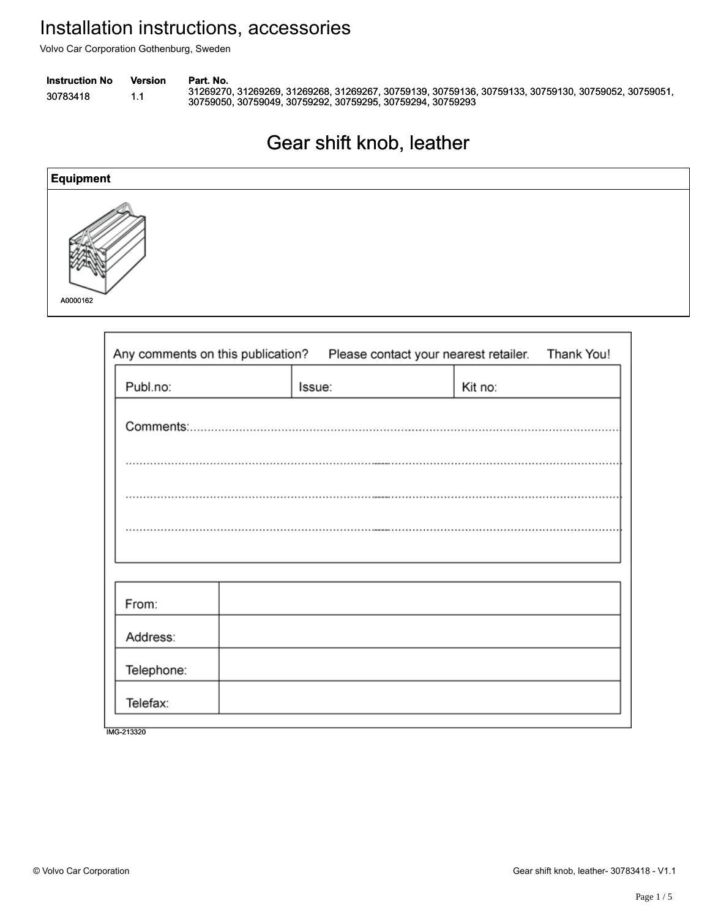| <b>Instruction No</b> | Version | Part. No.                                                                                                                                                         |
|-----------------------|---------|-------------------------------------------------------------------------------------------------------------------------------------------------------------------|
| 30783418              | L.      | .31269270, 31269269, 31269268, 31269267, 30759139, 30759136, 30759133, 30759130, 30759052, 30759051<br>30759050, 30759049, 30759292, 30759295, 30759294, 30759293 |

# Gear shift knob, leather Gear shift knob, leather



| <b>Instruction No</b><br>30783418 | <b>Version</b><br>1.1  | Part. No.<br>30759050, 30759049, 30759292, 30759295, 30759294, 30759293 |                          | 31269270, 31269269, 31269268, 31269267, 30759139, 30759136, 30759133, 30759130, 30759052, 3 |            |
|-----------------------------------|------------------------|-------------------------------------------------------------------------|--------------------------|---------------------------------------------------------------------------------------------|------------|
|                                   |                        |                                                                         | Gear shift knob, leather |                                                                                             |            |
| <b>Equipment</b>                  |                        |                                                                         |                          |                                                                                             |            |
| A0000162                          |                        |                                                                         |                          |                                                                                             |            |
|                                   |                        | Any comments on this publication?                                       |                          | Please contact your nearest retailer.                                                       | Thank You! |
|                                   | Publ.no:               |                                                                         | Issue:                   | Kit no:                                                                                     |            |
|                                   |                        |                                                                         |                          |                                                                                             |            |
|                                   |                        |                                                                         |                          |                                                                                             |            |
|                                   | From:                  |                                                                         |                          |                                                                                             |            |
|                                   | Address:<br>Telephone: |                                                                         |                          |                                                                                             |            |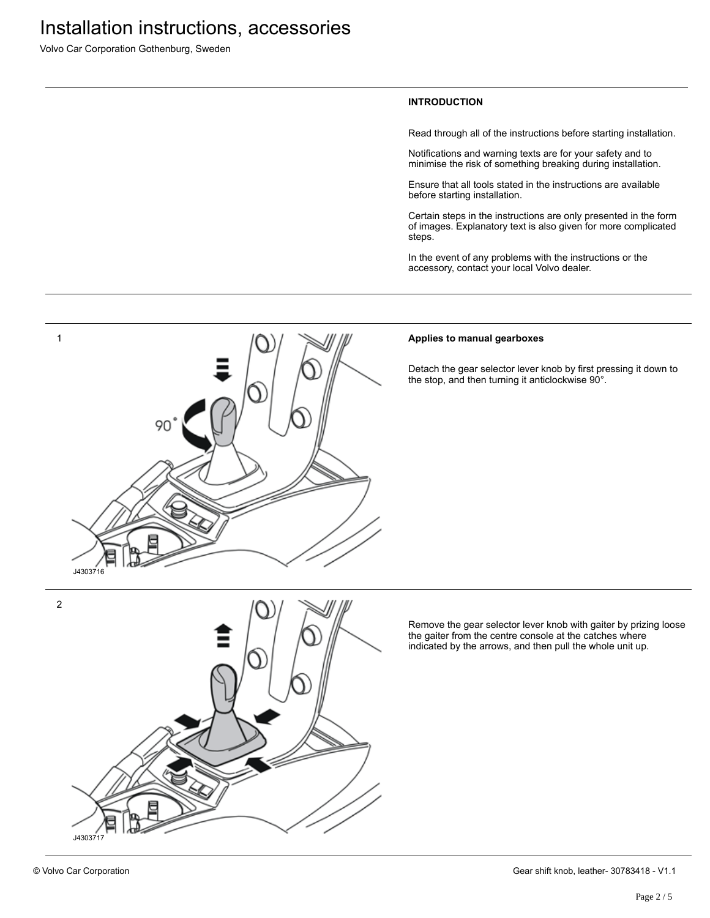Volvo Car Corporation Gothenburg, Sweden

#### **INTRODUCTION**

Read through all of the instructions before starting installation.

Notifications and warning texts are for your safety and to minimise the risk of something breaking during installation.

Ensure that all tools stated in the instructions are available before starting installation.

Certain steps in the instructions are only presented in the form of images. Explanatory text is also given for more complicated steps.

In the event of any problems with the instructions or the accessory, contact your local Volvo dealer.



#### **Applies to manual gearboxes**

Detach the gear selector lever knob by first pressing it down to the stop, and then turning it anticlockwise 90°.



J4303717

2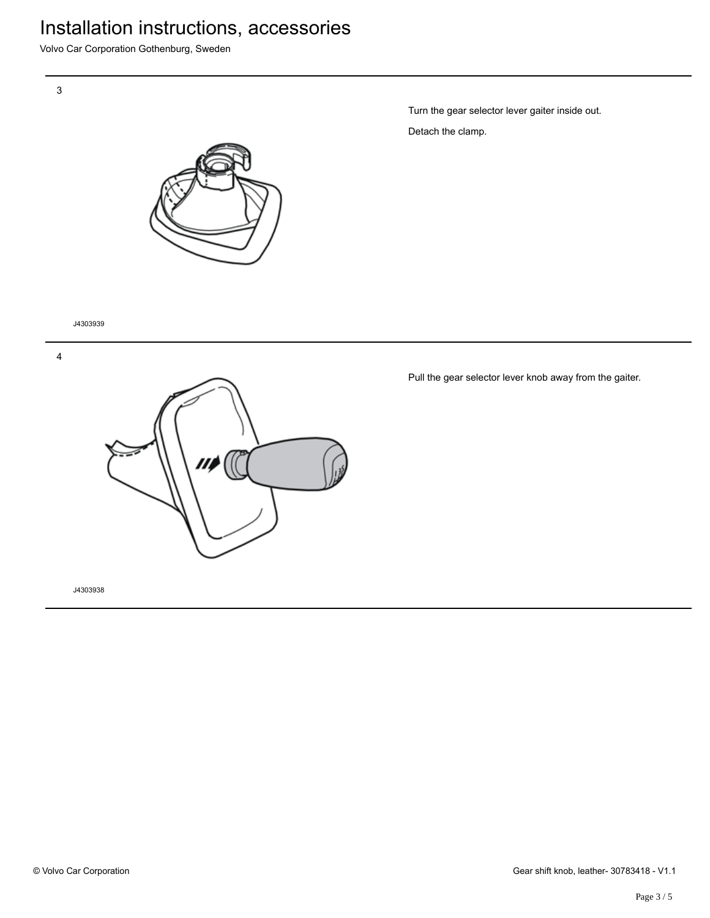# Installation instructions, accessories

Volvo Car Corporation Gothenburg, Sweden





Turn the gear selector lever gaiter inside out. Detach the clamp.

J4303939

4



Pull the gear selector lever knob away from the gaiter.

J4303938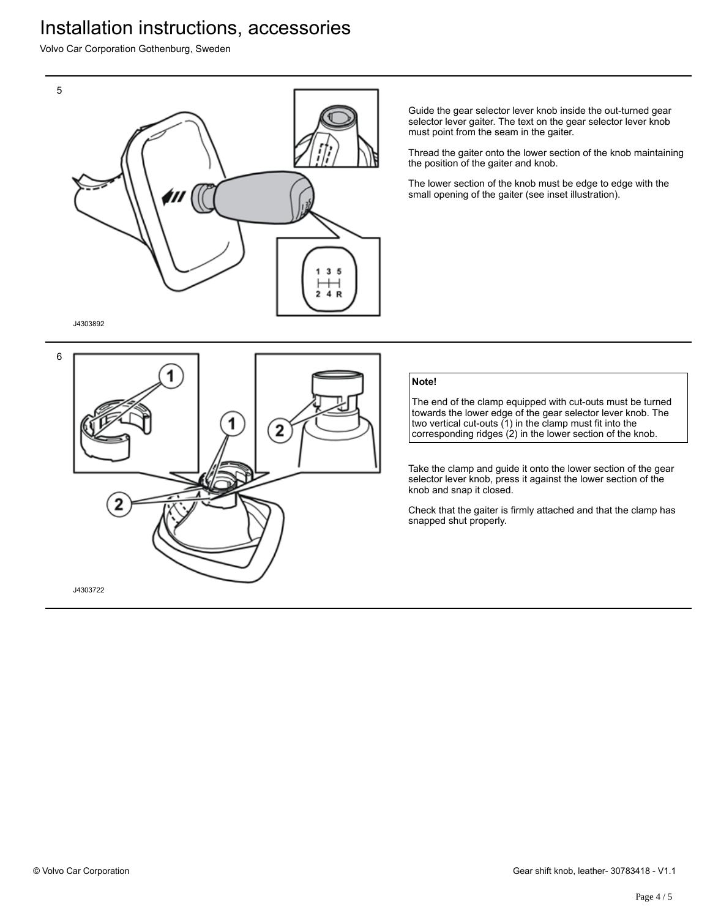## Installation instructions, accessories

Volvo Car Corporation Gothenburg, Sweden



Guide the gear selector lever knob inside the out-turned gear selector lever gaiter. The text on the gear selector lever knob must point from the seam in the gaiter.

Thread the gaiter onto the lower section of the knob maintaining the position of the gaiter and knob.

The lower section of the knob must be edge to edge with the small opening of the gaiter (see inset illustration).

J4303892



### **Note!**

The end of the clamp equipped with cut-outs must be turned towards the lower edge of the gear selector lever knob. The two vertical cut-outs (1) in the clamp must fit into the corresponding ridges (2) in the lower section of the knob.

Take the clamp and guide it onto the lower section of the gear selector lever knob, press it against the lower section of the knob and snap it closed.

Check that the gaiter is firmly attached and that the clamp has snapped shut properly.